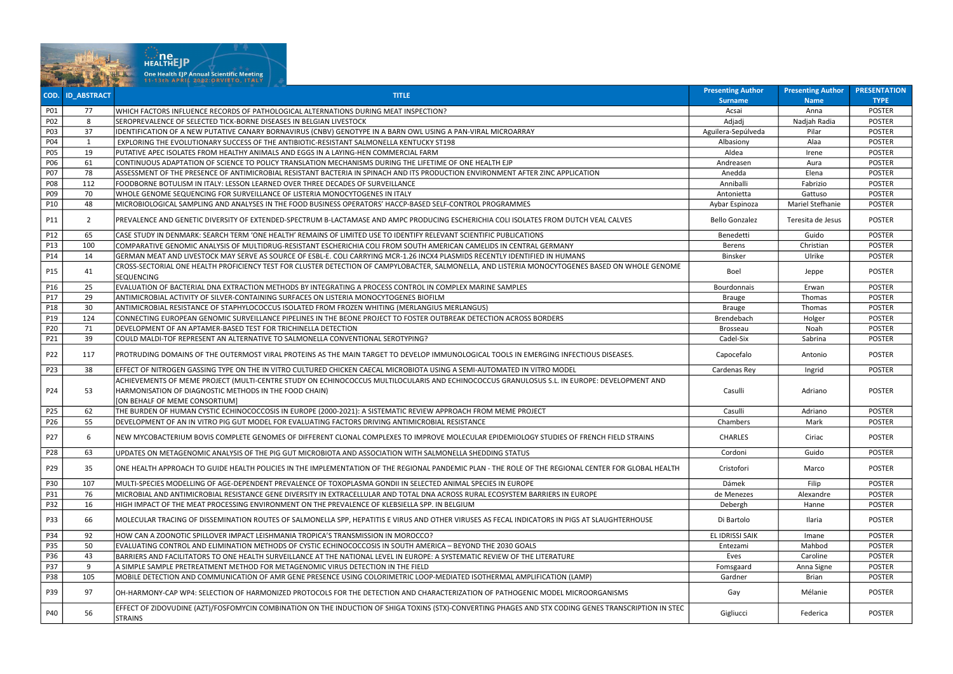

P38 105 MOBILE DETECTION AND COMMUNICATION OF AMR GENE PRESENCE USING COLORIMETRIC LOOP-MEDIATED ISOTHERMAL AMPLIFICATION (LAMP)

**STRAINS** 

P39 97 OH-HARMONY-CAP WP4: SELECTION OF HARMONIZED PROTOCOLS FOR THE DETECTION AND CHARACTERIZATION OF PATHOGENIC MODEL MICROORGANISMS

P40 FEFFECT OF ZIDOVUDINE (AZT)/FOSFOMYCIN COMBINATION ON THE INDUCTION OF SHIGA TOXINS (STX)-CONVERTING PHAGES AND STX CODING GENES TRANSCRIPTION IN STEC

| enting Author       | <b>Presenting Author</b> | <b>PRESENTATION</b> |
|---------------------|--------------------------|---------------------|
| <b>Surname</b>      | <b>Name</b>              | <b>TYPE</b>         |
| Acsai               | Anna                     | <b>POSTER</b>       |
| Adjadj              | Nadjah Radia             | <b>POSTER</b>       |
| era-Sepúlveda       | Pilar                    | <b>POSTER</b>       |
| Albasiony           | Alaa                     | <b>POSTER</b>       |
| Aldea               | Irene                    | <b>POSTER</b>       |
| Andreasen           | Aura                     | <b>POSTER</b>       |
| Anedda              | Elena                    | <b>POSTER</b>       |
| Anniballi           | Fabrizio                 | <b>POSTER</b>       |
| Antonietta          | Gattuso                  | <b>POSTER</b>       |
| bar Espinoza        | Mariel Stefhanie         | <b>POSTER</b>       |
| llo Gonzalez        | Teresita de Jesus        | <b>POSTER</b>       |
| Benedetti           | Guido                    | <b>POSTER</b>       |
| <b>Berens</b>       | Christian                | <b>POSTER</b>       |
| Binsker             | Ulrike                   | <b>POSTER</b>       |
| <b>Boel</b>         | Jeppe                    | <b>POSTER</b>       |
| ourdonnais          | Erwan                    | <b>POSTER</b>       |
| <b>Brauge</b>       | Thomas                   | <b>POSTER</b>       |
| <b>Brauge</b>       | Thomas                   | <b>POSTER</b>       |
| rendebach           | Holger                   | <b>POSTER</b>       |
| <b>Brosseau</b>     | Noah                     | <b>POSTER</b>       |
| Cadel-Six           | Sabrina                  | <b>POSTER</b>       |
| capocefalo          | Antonio                  | <b>POSTER</b>       |
| <b>Irdenas Rey</b>  | Ingrid                   | <b>POSTER</b>       |
| Casulli             | Adriano                  | <b>POSTER</b>       |
| Casulli             | Adriano                  | <b>POSTER</b>       |
| Chambers            | Mark                     | <b>POSTER</b>       |
| <b>CHARLES</b>      | Ciriac                   | <b>POSTER</b>       |
| Cordoni             | Guido                    | <b>POSTER</b>       |
| Cristofori          | Marco                    | <b>POSTER</b>       |
| Dámek               | Filip                    | <b>POSTER</b>       |
| e Menezes           | Alexandre                | <b>POSTER</b>       |
| Debergh             | Hanne                    | <b>POSTER</b>       |
| Di Bartolo          | Ilaria                   | <b>POSTER</b>       |
| <b>IDRISSI SAIK</b> | Imane                    | <b>POSTER</b>       |
| Entezami            | Mahbod                   | <b>POSTER</b>       |
| Eves                | Caroline                 | <b>POSTER</b>       |
| omsgaard            | Anna Signe               | <b>POSTER</b>       |
| Gardner             | <b>Brian</b>             | <b>POSTER</b>       |
| Gay                 | Mélanie                  | <b>POSTER</b>       |
| Gigliucci           | Federica                 | <b>POSTER</b>       |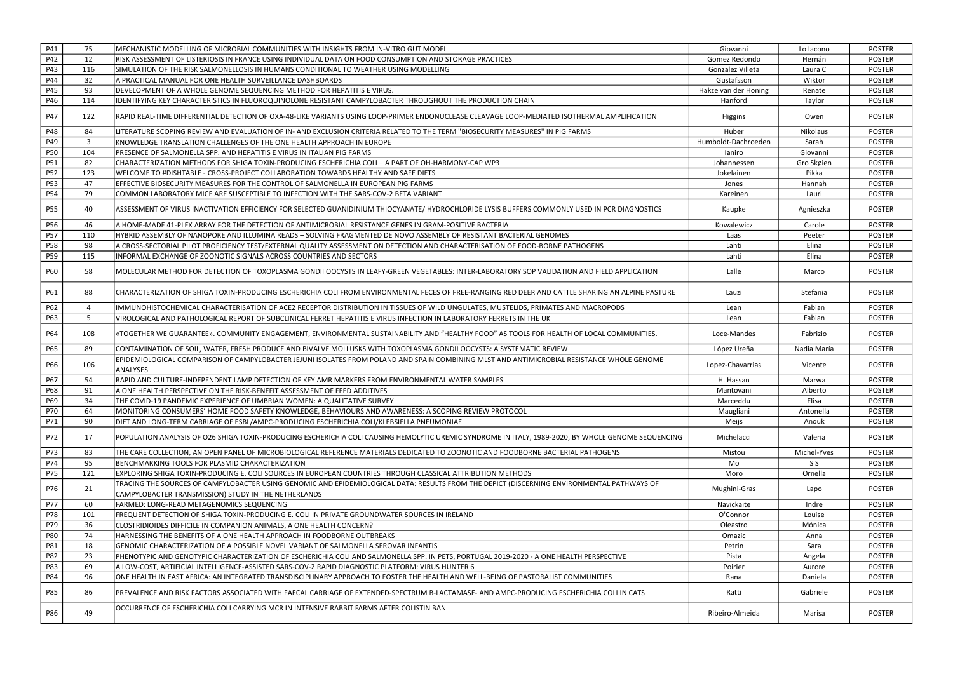| P41        | 75             | MECHANISTIC MODELLING OF MICROBIAL COMMUNITIES WITH INSIGHTS FROM IN-VITRO GUT MODEL                                                                                                               | Giovanni             | Lo lacono   | <b>POSTER</b> |
|------------|----------------|----------------------------------------------------------------------------------------------------------------------------------------------------------------------------------------------------|----------------------|-------------|---------------|
| P42        | 12             | RISK ASSESSMENT OF LISTERIOSIS IN FRANCE USING INDIVIDUAL DATA ON FOOD CONSUMPTION AND STORAGE PRACTICES                                                                                           | Gomez Redondo        | Hernán      | <b>POSTER</b> |
|            |                |                                                                                                                                                                                                    |                      |             |               |
| P43        | 116            | SIMULATION OF THE RISK SALMONELLOSIS IN HUMANS CONDITIONAL TO WEATHER USING MODELLING                                                                                                              | Gonzalez Villeta     | Laura C     | <b>POSTER</b> |
| P44        | 32             | A PRACTICAL MANUAL FOR ONE HEALTH SURVEILLANCE DASHBOARDS                                                                                                                                          | Gustafsson           | Wiktor      | <b>POSTER</b> |
| P45        | 93             | DEVELOPMENT OF A WHOLE GENOME SEQUENCING METHOD FOR HEPATITIS E VIRUS.                                                                                                                             | Hakze van der Honing | Renate      | <b>POSTER</b> |
| P46        | 114            | IDENTIFYING KEY CHARACTERISTICS IN FLUOROQUINOLONE RESISTANT CAMPYLOBACTER THROUGHOUT THE PRODUCTION CHAIN                                                                                         | Hanford              | Taylor      | <b>POSTER</b> |
| P47        | 122            | RAPID REAL-TIME DIFFERENTIAL DETECTION OF OXA-48-LIKE VARIANTS USING LOOP-PRIMER ENDONUCLEASE CLEAVAGE LOOP-MEDIATED ISOTHERMAL AMPLIFICATION                                                      | Higgins              | Owen        | <b>POSTER</b> |
| P48        | 84             | LITERATURE SCOPING REVIEW AND EVALUATION OF IN- AND EXCLUSION CRITERIA RELATED TO THE TERM "BIOSECURITY MEASURES" IN PIG FARMS                                                                     | Huber                | Nikolaus    | <b>POSTER</b> |
| P49        | $\mathbf{3}$   | KNOWLEDGE TRANSLATION CHALLENGES OF THE ONE HEALTH APPROACH IN EUROPE                                                                                                                              | Humboldt-Dachroeden  | Sarah       | <b>POSTER</b> |
| P50        | 104            | PRESENCE OF SALMONELLA SPP. AND HEPATITIS E VIRUS IN ITALIAN PIG FARMS                                                                                                                             | laniro               | Giovanni    | <b>POSTER</b> |
| P51        | 82             | CHARACTERIZATION METHODS FOR SHIGA TOXIN-PRODUCING ESCHERICHIA COLI – A PART OF OH-HARMONY-CAP WP3                                                                                                 | Johannessen          | Gro Skøien  | <b>POSTER</b> |
| P52        | 123            | WELCOME TO #DISHTABLE - CROSS-PROJECT COLLABORATION TOWARDS HEALTHY AND SAFE DIETS                                                                                                                 | Jokelainen           | Pikka       | <b>POSTER</b> |
| P53        | 47             | EFFECTIVE BIOSECURITY MEASURES FOR THE CONTROL OF SALMONELLA IN EUROPEAN PIG FARMS                                                                                                                 | Jones                | Hannah      | <b>POSTER</b> |
| P54        | 79             |                                                                                                                                                                                                    |                      |             |               |
|            |                | COMMON LABORATORY MICE ARE SUSCEPTIBLE TO INFECTION WITH THE SARS-COV-2 BETA VARIANT                                                                                                               | Kareinen             | Lauri       | <b>POSTER</b> |
| <b>P55</b> | 40             | ASSESSMENT OF VIRUS INACTIVATION EFFICIENCY FOR SELECTED GUANIDINIUM THIOCYANATE/ HYDROCHLORIDE LYSIS BUFFERS COMMONLY USED IN PCR DIAGNOSTICS                                                     | Kaupke               | Agnieszka   | <b>POSTER</b> |
| P56        | 46             | A HOME-MADE 41-PLEX ARRAY FOR THE DETECTION OF ANTIMICROBIAL RESISTANCE GENES IN GRAM-POSITIVE BACTERIA                                                                                            | Kowalewicz           | Carole      | <b>POSTER</b> |
| <b>P57</b> | 110            | HYBRID ASSEMBLY OF NANOPORE AND ILLUMINA READS - SOLVING FRAGMENTED DE NOVO ASSEMBLY OF RESISTANT BACTERIAL GENOMES                                                                                | Laas                 | Peeter      | <b>POSTER</b> |
| <b>P58</b> | 98             | A CROSS-SECTORIAL PILOT PROFICIENCY TEST/EXTERNAL QUALITY ASSESSMENT ON DETECTION AND CHARACTERISATION OF FOOD-BORNE PATHOGENS                                                                     | Lahti                | Elina       | <b>POSTER</b> |
| P59        | 115            | INFORMAL EXCHANGE OF ZOONOTIC SIGNALS ACROSS COUNTRIES AND SECTORS                                                                                                                                 | Lahti                | Elina       | <b>POSTER</b> |
| <b>P60</b> | 58             | MOLECULAR METHOD FOR DETECTION OF TOXOPLASMA GONDII OOCYSTS IN LEAFY-GREEN VEGETABLES: INTER-LABORATORY SOP VALIDATION AND FIELD APPLICATION                                                       | Lalle                | Marco       | <b>POSTER</b> |
| P61        | 88             | CHARACTERIZATION OF SHIGA TOXIN-PRODUCING ESCHERICHIA COLI FROM ENVIRONMENTAL FECES OF FREE-RANGING RED DEER AND CATTLE SHARING AN ALPINE PASTURE                                                  | Lauzi                | Stefania    | <b>POSTER</b> |
| P62        | $\overline{4}$ | IMMUNOHISTOCHEMICAL CHARACTERISATION OF ACE2 RECEPTOR DISTRIBUTION IN TISSUES OF WILD UNGULATES, MUSTELIDS, PRIMATES AND MACROPODS                                                                 | Lean                 | Fabian      | <b>POSTER</b> |
| P63        | 5              | VIROLOGICAL AND PATHOLOGICAL REPORT OF SUBCLINICAL FERRET HEPATITIS E VIRUS INFECTION IN LABORATORY FERRETS IN THE UK                                                                              | Lean                 | Fabian      | <b>POSTER</b> |
| P64        | 108            | «TOGETHER WE GUARANTEE». COMMUNITY ENGAGEMENT, ENVIRONMENTAL SUSTAINABILITY AND "HEALTHY FOOD" AS TOOLS FOR HEALTH OF LOCAL COMMUNITIES.                                                           | Loce-Mandes          | Fabrizio    | <b>POSTER</b> |
| P65        | 89             | CONTAMINATION OF SOIL, WATER, FRESH PRODUCE AND BIVALVE MOLLUSKS WITH TOXOPLASMA GONDII OOCYSTS: A SYSTEMATIC REVIEW                                                                               | López Ureña          | Nadia María | <b>POSTER</b> |
| P66        | 106            | EPIDEMIOLOGICAL COMPARISON OF CAMPYLOBACTER JEJUNI ISOLATES FROM POLAND AND SPAIN COMBINING MLST AND ANTIMICROBIAL RESISTANCE WHOLE GENOME<br><b>ANALYSES</b>                                      | Lopez-Chavarrias     | Vicente     | <b>POSTER</b> |
| P67        | 54             | RAPID AND CULTURE-INDEPENDENT LAMP DETECTION OF KEY AMR MARKERS FROM ENVIRONMENTAL WATER SAMPLES                                                                                                   | H. Hassan            | Marwa       | <b>POSTER</b> |
| P68        | 91             | A ONE HEALTH PERSPECTIVE ON THE RISK-BENEFIT ASSESSMENT OF FEED ADDITIVES                                                                                                                          | Mantovani            | Alberto     | <b>POSTER</b> |
| P69        | 34             | THE COVID-19 PANDEMIC EXPERIENCE OF UMBRIAN WOMEN: A QUALITATIVE SURVEY                                                                                                                            | Marceddu             | Elisa       | <b>POSTER</b> |
| P70        | 64             | MONITORING CONSUMERS' HOME FOOD SAFETY KNOWLEDGE, BEHAVIOURS AND AWARENESS: A SCOPING REVIEW PROTOCOL                                                                                              | Maugliani            | Antonella   | <b>POSTER</b> |
| P71        | 90             |                                                                                                                                                                                                    |                      | Anouk       | <b>POSTER</b> |
|            |                | DIET AND LONG-TERM CARRIAGE OF ESBL/AMPC-PRODUCING ESCHERICHIA COLI/KLEBSIELLA PNEUMONIAE                                                                                                          | Meijs                |             |               |
| P72        | 17             | POPULATION ANALYSIS OF O26 SHIGA TOXIN-PRODUCING ESCHERICHIA COLI CAUSING HEMOLYTIC UREMIC SYNDROME IN ITALY, 1989-2020, BY WHOLE GENOME SEQUENCING                                                | Michelacci           | Valeria     | <b>POSTER</b> |
| P73        | 83             | THE CARE COLLECTION, AN OPEN PANEL OF MICROBIOLOGICAL REFERENCE MATERIALS DEDICATED TO ZOONOTIC AND FOODBORNE BACTERIAL PATHOGENS                                                                  | Mistou               | Michel-Yves | <b>POSTER</b> |
| P74        | 95             | BENCHMARKING TOOLS FOR PLASMID CHARACTERIZATION                                                                                                                                                    | Mo                   | SS.         | <b>POSTER</b> |
| P75        | 121            | EXPLORING SHIGA TOXIN-PRODUCING E. COLI SOURCES IN EUROPEAN COUNTRIES THROUGH CLASSICAL ATTRIBUTION METHODS                                                                                        | Moro                 | Ornella     | <b>POSTER</b> |
| P76        | 21             | TRACING THE SOURCES OF CAMPYLOBACTER USING GENOMIC AND EPIDEMIOLOGICAL DATA: RESULTS FROM THE DEPICT (DISCERNING ENVIRONMENTAL PATHWAYS OF<br>CAMPYLOBACTER TRANSMISSION) STUDY IN THE NETHERLANDS | Mughini-Gras         | Lapo        | <b>POSTER</b> |
| P77        | 60             | FARMED: LONG-READ METAGENOMICS SEQUENCING                                                                                                                                                          | Navickaite           | Indre       | <b>POSTER</b> |
| P78        | 101            | FREQUENT DETECTION OF SHIGA TOXIN-PRODUCING E. COLI IN PRIVATE GROUNDWATER SOURCES IN IRELAND                                                                                                      | O'Connor             | Louise      | <b>POSTER</b> |
| P79        | 36             | CLOSTRIDIOIDES DIFFICILE IN COMPANION ANIMALS, A ONE HEALTH CONCERN?                                                                                                                               | Oleastro             | Mónica      | <b>POSTER</b> |
| P80        | 74             | HARNESSING THE BENEFITS OF A ONE HEALTH APPROACH IN FOODBORNE OUTBREAKS                                                                                                                            | Omazic               | Anna        | <b>POSTER</b> |
| P81        | 18             | GENOMIC CHARACTERIZATION OF A POSSIBLE NOVEL VARIANT OF SALMONELLA SEROVAR INFANTIS                                                                                                                | Petrin               | Sara        | <b>POSTER</b> |
| P82        |                |                                                                                                                                                                                                    | Pista                |             | <b>POSTER</b> |
|            | 23             | PHENOTYPIC AND GENOTYPIC CHARACTERIZATION OF ESCHERICHIA COLI AND SALMONELLA SPP. IN PETS, PORTUGAL 2019-2020 - A ONE HEALTH PERSPECTIVE                                                           |                      | Angela      |               |
| P83        | 69             | A LOW-COST, ARTIFICIAL INTELLIGENCE-ASSISTED SARS-COV-2 RAPID DIAGNOSTIC PLATFORM: VIRUS HUNTER 6                                                                                                  | Poirier              | Aurore      | <b>POSTER</b> |
| P84        | 96             | ONE HEALTH IN EAST AFRICA: AN INTEGRATED TRANSDISCIPLINARY APPROACH TO FOSTER THE HEALTH AND WELL-BEING OF PASTORALIST COMMUNITIES                                                                 | Rana                 | Daniela     | <b>POSTER</b> |
| <b>P85</b> | 86             | IPREVALENCE AND RISK FACTORS ASSOCIATED WITH FAECAL CARRIAGE OF EXTENDED-SPECTRUM B-LACTAMASE- AND AMPC-PRODUCING ESCHERICHIA COLI IN CATS                                                         | Ratti                | Gabriele    | <b>POSTER</b> |
| P86        | 49             | OCCURRENCE OF ESCHERICHIA COLI CARRYING MCR IN INTENSIVE RABBIT FARMS AFTER COLISTIN BAN                                                                                                           | Ribeiro-Almeida      | Marisa      | <b>POSTER</b> |